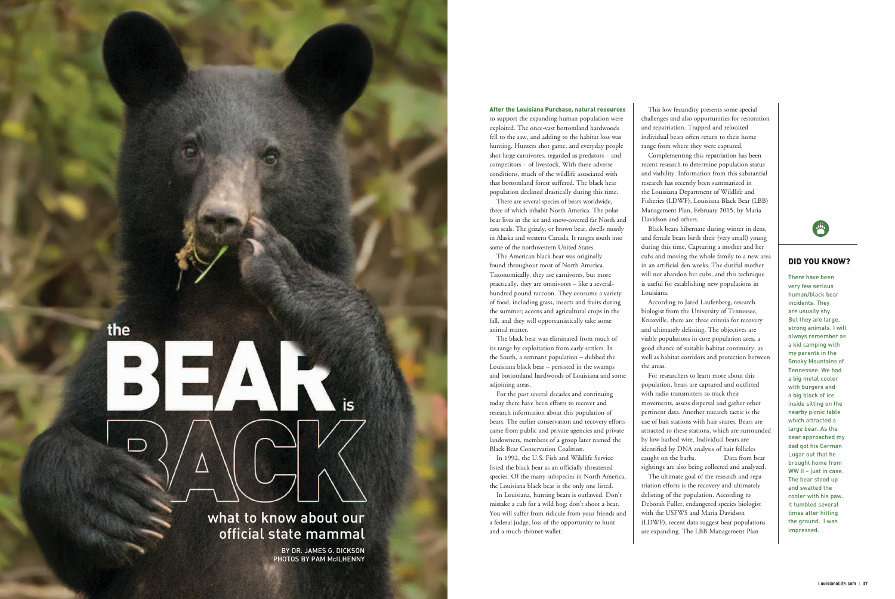After the Louisiana Purchase, natural resources to support the expanding human population were exploited. The once-vast bottomland hardwoods fell to the saw, and adding to the habitat loss was hunting. Hunters shot game, and everyday people shot large carnivores, regarded as predators – and competitors – of livestock. With these adverse conditions, much of the wildlife associated with that bottomland forest suffered. The black hear population declined drastically during this time.

The black bear was eliminated from much of its range by exploitation from early settlers. In the South, a remnant population – dubbed the Louisiana black bear – persisted in the swamps and bottomland hardwoods of Louisiana and some adioining areas.

There are several species of bears worldwide, three of which inhabit North America. The polar bear lives in the ice and snow-covered far North and eats seals. The grizzly, or brown bear, dwells mostly in Alaska and western Canada. It ranges south into some of the northwestern United States.

The American black bear was originally found throughout most of North America. Taxonomically, they are carnivores, but more practically, they are omnivores – like a severalhundred pound raccoon. They consume a variety of food, including grass, insects and fruits during the summer; acorns and agricultural crops in the fall, and they will opportunistically take some animal matter.

For the past several decades and continuing today there have been efforts to recover and research information about this population of bears. The earlier conservation and recovery efforts came from public and private agencies and private landowners, members of a group later named the Black Bear Conservation Coalition.

In 1992, the U.S. Fish and Wildlife Service listed the black bear as an officially threatened species. Of the many subspecies in North America, the Louisiana black bear is the only one listed.

In Louisiana, hunting bears is outlawed. Don't mistake a cub for a wild hog; don't shoot a bear. You will suffer from ridicule from your friends and a federal judge, loss of the opportunity to hunt and a much-thinner wallet.



This low fecundity presents some special challenges and also opportunities for restoration and repatriation. Trapped and relocated individual bears often return to their home range from where they were captured. Complementing this repatriation has been recent research to determine population status and viability. Information from this substantial research has recently been summarized in the Louisiana Department of Wildlife and Fisheries (LDWF), Louisiana Black Bear (LBB) Management Plan, February 2015, by Maria

Davidson and others.

Black bears hibernate during winter in dens, and female bears birth their (very small) young during this time. Capturing a mother and her cubs and moving the whole family to a new area in an artificial den works. The dutiful mother will not abandon her cubs, and this technique is useful for establishing new populations in

Louisiana.

According to Jared Laufenberg, research biologist from the University of Tennessee, Knoxville, there are three criteria for recovery and ultimately delisting. The objectives are viable populations in core population area, a good chance of suitable habitat continuity, as well as habitat corridors and protection between



the areas.

For researchers to learn more about this population, bears are captured and outfitted with radio transmitters to track their movements, assess dispersal and gather other pertinent data. Another research tactic is the use of bait stations with hair snares. Bears are attracted to these stations, which are surrounded by low barbed wire. Individual bears are identified by DNA analysis of hair follicles caught on the barbs. Data from bear sightings are also being collected and analyzed. The ultimate goal of the research and repa triation efforts is the recovery and ultimately delisting of the population. According to Deborah Fuller, endangered species biologist with the USFWS and Maria Davidson (LDWF), recent data suggest bear populations are expanding. The LBB Management Plan

### DID YOU KNOW?

There have been very few serious human/black bear incidents. They are usually shy. But they are large, strong animals. I will always remember as a kid camping with my parents in the Smoky Mountains of Tennessee. We had a big metal cooler with burgers and a big block of ice inside sitting on the nearby picnic table which attracted a large bear. As the bear approached my dad got his German Lugar out that he brought home from WW II – just in case. The bear stood up and swatted the cooler with his paw. It tumbled several times after hitting the ground. I was impressed.